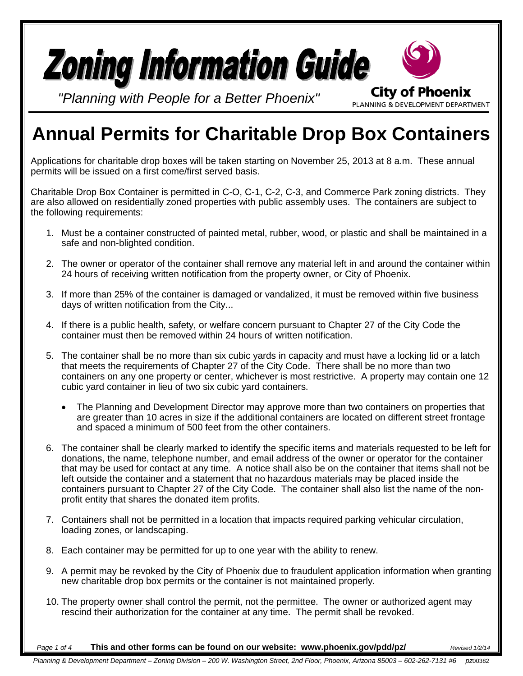

# **Annual Permits for Charitable Drop Box Containers**

Applications for charitable drop boxes will be taken starting on November 25, 2013 at 8 a.m. These annual permits will be issued on a first come/first served basis.

Charitable Drop Box Container is permitted in C-O, C-1, C-2, C-3, and Commerce Park zoning districts. They are also allowed on residentially zoned properties with public assembly uses. The containers are subject to the following requirements:

- 1. Must be a container constructed of painted metal, rubber, wood, or plastic and shall be maintained in a safe and non-blighted condition.
- 2. The owner or operator of the container shall remove any material left in and around the container within 24 hours of receiving written notification from the property owner, or City of Phoenix.
- 3. If more than 25% of the container is damaged or vandalized, it must be removed within five business days of written notification from the City...
- 4. If there is a public health, safety, or welfare concern pursuant to Chapter 27 of the City Code the container must then be removed within 24 hours of written notification.
- 5. The container shall be no more than six cubic yards in capacity and must have a locking lid or a latch that meets the requirements of Chapter 27 of the City Code. There shall be no more than two containers on any one property or center, whichever is most restrictive. A property may contain one 12 cubic yard container in lieu of two six cubic yard containers.
	- The Planning and Development Director may approve more than two containers on properties that are greater than 10 acres in size if the additional containers are located on different street frontage and spaced a minimum of 500 feet from the other containers.
- 6. The container shall be clearly marked to identify the specific items and materials requested to be left for donations, the name, telephone number, and email address of the owner or operator for the container that may be used for contact at any time. A notice shall also be on the container that items shall not be left outside the container and a statement that no hazardous materials may be placed inside the containers pursuant to Chapter 27 of the City Code. The container shall also list the name of the nonprofit entity that shares the donated item profits.
- 7. Containers shall not be permitted in a location that impacts required parking vehicular circulation, loading zones, or landscaping.
- 8. Each container may be permitted for up to one year with the ability to renew.
- 9. A permit may be revoked by the City of Phoenix due to fraudulent application information when granting new charitable drop box permits or the container is not maintained properly.
- 10. The property owner shall control the permit, not the permittee. The owner or authorized agent may rescind their authorization for the container at any time. The permit shall be revoked.

*Page 1 of 4* **This and other forms can be found on our website: www.phoenix.gov/pdd/pz/** *Revised 1/2/14*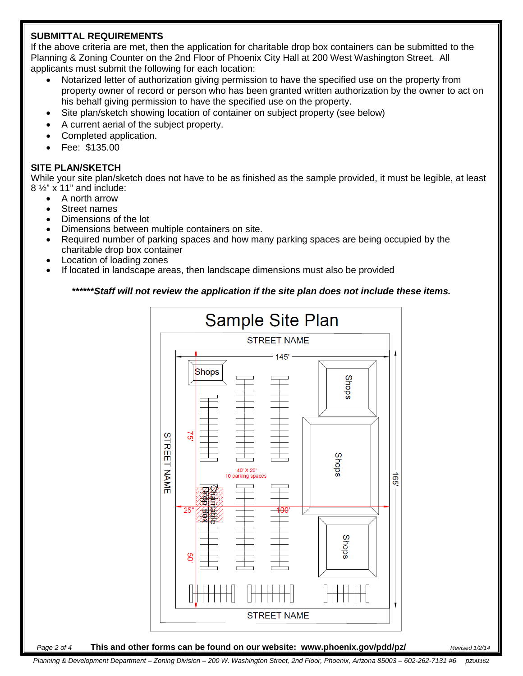### **SUBMITTAL REQUIREMENTS**

If the above criteria are met, then the application for charitable drop box containers can be submitted to the Planning & Zoning Counter on the 2nd Floor of Phoenix City Hall at 200 West Washington Street. All applicants must submit the following for each location:

- Notarized letter of authorization giving permission to have the specified use on the property from property owner of record or person who has been granted written authorization by the owner to act on his behalf giving permission to have the specified use on the property.
- Site plan/sketch showing location of container on subject property (see below)
- A current aerial of the subject property.
- Completed application.
- Fee: \$135.00

# **SITE PLAN/SKETCH**

While your site plan/sketch does not have to be as finished as the sample provided, it must be legible, at least  $8\frac{1}{2}$ " x 11" and include:

- A north arrow
- Street names
- Dimensions of the lot
- Dimensions between multiple containers on site.
- Required number of parking spaces and how many parking spaces are being occupied by the charitable drop box container
- Location of loading zones
- If located in landscape areas, then landscape dimensions must also be provided

## **\*\*\*\*\*\****Staff will not review the application if the site plan does not include these items.*



#### *Page 2 of 4* **This and other forms can be found on our website: www.phoenix.gov/pdd/pz/** *Revised 1/2/14*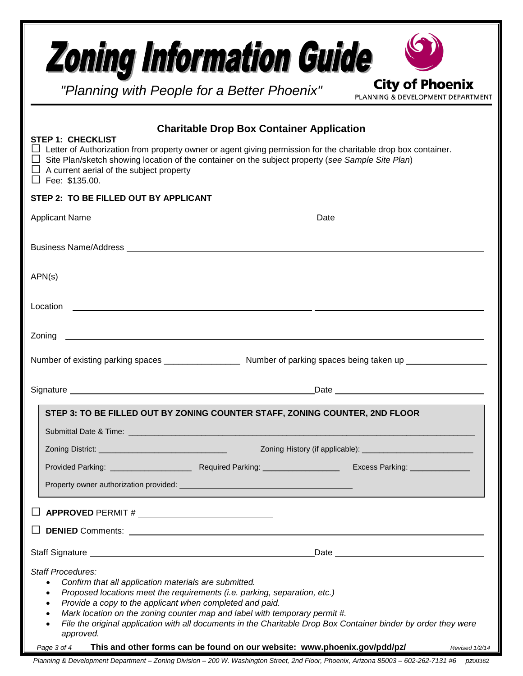| <b>Zoning Information Guide</b>                                                                                                                                                                                                                                                                                                                                                   | "Planning with People for a Better Phoenix"                                                                                                                                                                                          | <b>City of Phoenix</b><br>PLANNING & DEVELOPMENT DEPARTMENT                                                                       |
|-----------------------------------------------------------------------------------------------------------------------------------------------------------------------------------------------------------------------------------------------------------------------------------------------------------------------------------------------------------------------------------|--------------------------------------------------------------------------------------------------------------------------------------------------------------------------------------------------------------------------------------|-----------------------------------------------------------------------------------------------------------------------------------|
| <b>STEP 1: CHECKLIST</b><br>$\Box$ Letter of Authorization from property owner or agent giving permission for the charitable drop box container.<br>$\Box$ Site Plan/sketch showing location of the container on the subject property (see Sample Site Plan)<br>$\Box$ A current aerial of the subject property<br>$\Box$ Fee: \$135.00.<br>STEP 2: TO BE FILLED OUT BY APPLICANT | <b>Charitable Drop Box Container Application</b>                                                                                                                                                                                     |                                                                                                                                   |
|                                                                                                                                                                                                                                                                                                                                                                                   |                                                                                                                                                                                                                                      |                                                                                                                                   |
| APN(s)                                                                                                                                                                                                                                                                                                                                                                            |                                                                                                                                                                                                                                      |                                                                                                                                   |
|                                                                                                                                                                                                                                                                                                                                                                                   |                                                                                                                                                                                                                                      |                                                                                                                                   |
|                                                                                                                                                                                                                                                                                                                                                                                   |                                                                                                                                                                                                                                      |                                                                                                                                   |
|                                                                                                                                                                                                                                                                                                                                                                                   |                                                                                                                                                                                                                                      |                                                                                                                                   |
| STEP 3: TO BE FILLED OUT BY ZONING COUNTER STAFF, ZONING COUNTER, 2ND FLOOR                                                                                                                                                                                                                                                                                                       |                                                                                                                                                                                                                                      |                                                                                                                                   |
|                                                                                                                                                                                                                                                                                                                                                                                   |                                                                                                                                                                                                                                      |                                                                                                                                   |
|                                                                                                                                                                                                                                                                                                                                                                                   |                                                                                                                                                                                                                                      |                                                                                                                                   |
|                                                                                                                                                                                                                                                                                                                                                                                   |                                                                                                                                                                                                                                      |                                                                                                                                   |
|                                                                                                                                                                                                                                                                                                                                                                                   |                                                                                                                                                                                                                                      |                                                                                                                                   |
|                                                                                                                                                                                                                                                                                                                                                                                   |                                                                                                                                                                                                                                      |                                                                                                                                   |
|                                                                                                                                                                                                                                                                                                                                                                                   |                                                                                                                                                                                                                                      |                                                                                                                                   |
| <b>Staff Procedures:</b><br>Confirm that all application materials are submitted.<br>$\bullet$<br>$\bullet$<br>Provide a copy to the applicant when completed and paid.<br>$\bullet$<br>$\bullet$<br>$\bullet$<br>approved.<br>Page 3 of 4                                                                                                                                        | Proposed locations meet the requirements (i.e. parking, separation, etc.)<br>Mark location on the zoning counter map and label with temporary permit #.<br>This and other forms can be found on our website: www.phoenix.gov/pdd/pz/ | File the original application with all documents in the Charitable Drop Box Container binder by order they were<br>Revised 1/2/14 |